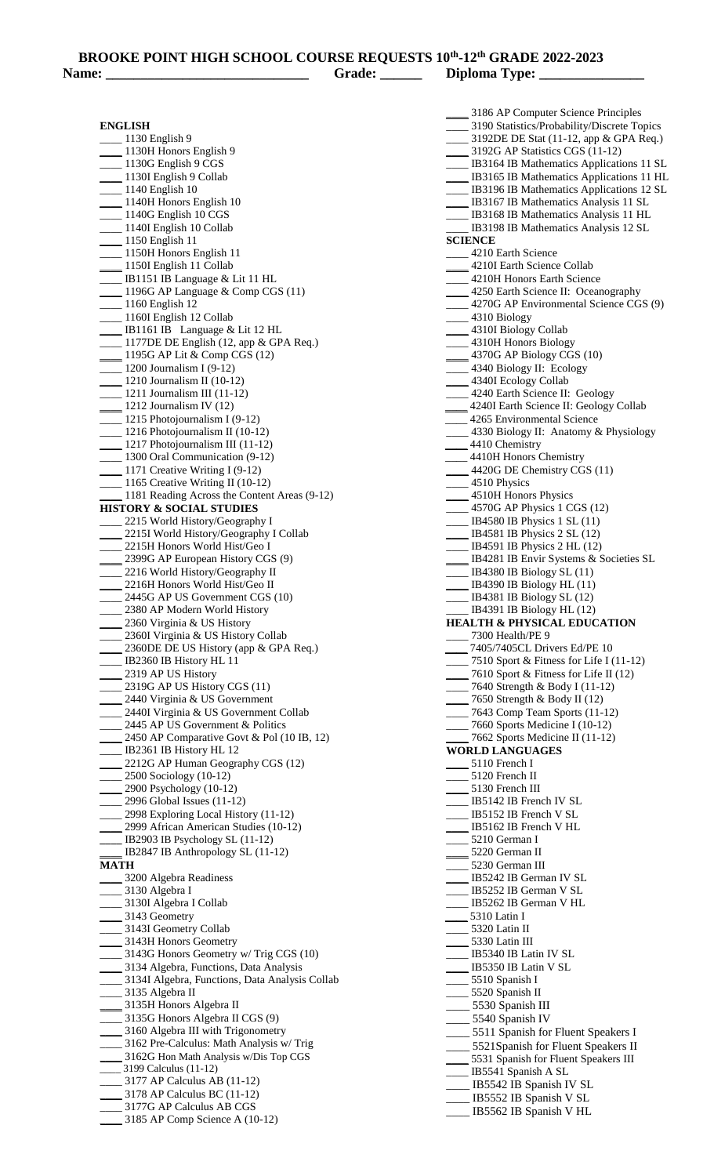| <b>BROOKE POINT HIGH SCHOOL COURSE REQUESTS 10th-12th GRADE 2022-2023</b> |  |  |
|---------------------------------------------------------------------------|--|--|
|                                                                           |  |  |

| Name: $\overline{\phantom{a}}$                   | Grade: ______ | Diploma Type: _______________                                                      |
|--------------------------------------------------|---------------|------------------------------------------------------------------------------------|
| <b>ENGLISH</b>                                   |               | 3186 AP Computer Science Principles<br>3190 Statistics/Probability/Discrete Topics |
| <sub>___</sub> 1130 English 9                    |               | ____ 3192DE DE Stat (11-12, app & GPA Req.)                                        |
| 1130H Honors English 9                           |               | ______ 3192G AP Statistics CGS (11-12)                                             |
| $\frac{1130G}{2}$ English 9 CGS                  |               | ___ IB3164 IB Mathematics Applications 11 SL                                       |
| 1130I English 9 Collab                           |               | IB3165 IB Mathematics Applications 11 HL                                           |
| $\frac{1140}{2}$ English 10                      |               | LEGGIO IB Mathematics Applications 12 SL                                           |
| 1140H Honors English 10                          |               | IB3167 IB Mathematics Analysis 11 SL                                               |
| $\frac{1140G}{2}$ English 10 CGS                 |               | IB3168 IB Mathematics Analysis 11 HL                                               |
| ___ 1140I English 10 Collab                      |               | IB3198 IB Mathematics Analysis 12 SL                                               |
| 1150 English 11                                  |               | <b>SCIENCE</b>                                                                     |
| __ 1150H Honors English 11                       |               | 4210 Earth Science                                                                 |
| 1150I English 11 Collab                          |               | 4210I Earth Science Collab                                                         |
| ___ IB1151 IB Language & Lit 11 HL               |               | 4210H Honors Earth Science                                                         |
| $\frac{1196G}{2}$ AP Language & Comp CGS (11)    |               | 4250 Earth Science II: Oceanography                                                |
| $\frac{1160}{2}$ English 12                      |               | 4270G AP Environmental Science CGS (9)                                             |
| __ 1160I English 12 Collab                       |               | $\frac{4310 \text{ Biology}}{}$                                                    |
| $\frac{1}{2}$ IB1161 IB Language & Lit 12 HL     |               | 4310I Biology Collab                                                               |
| ___ 1177DE DE English (12, app & GPA Req.)       |               | 4310H Honors Biology                                                               |
| 1195G AP Lit & Comp CGS (12)                     |               | 4370G AP Biology CGS (10)                                                          |
| $\frac{1200 \text{ Journalism I (9-12)}}{2}$     |               | $\frac{1}{2}$ 4340 Biology II: Ecology                                             |
| $\frac{1210 \text{ Journalism II (10-12)}}{2}$   |               | 4340I Ecology Collab                                                               |
| $\frac{1211 \text{ Journalism III}}{11-12}$      |               | 4240 Earth Science II: Geology                                                     |
| $\frac{1212 \text{ Journalism IV (12)}}{2}$      |               | 4240I Earth Science II: Geology Collab                                             |
| $\frac{1215 \text{ Photopormalism I (9-12)}}{2}$ |               | 4265 Environmental Science                                                         |
| __ 1216 Photojournalism II (10-12)               |               | 4330 Biology II: Anatomy & Physiology                                              |
| $\frac{1217 \text{ Photopurnalism III}}{11-12}$  |               | 4410 Chemistry                                                                     |
| 1300 Oral Communication (9-12)                   |               | ____ 4410H Honors Chemistry                                                        |
| 1171 Creative Writing I (9-12)                   |               | 4420G DE Chemistry CGS (11)                                                        |

1171 Creative Writing I (9-12) \_\_\_\_ 1165 Creative Writing II (10-12) 1181 Reading Across the Content Areas (9-12) **HISTORY & SOCIAL STUDIES**  2215 World History/Geography I 2215I World History/Geography I Collab \_\_\_\_ 2215H Honors World Hist/Geo I 2399G AP European History CGS (9) 2216 World History/Geography II 2216H Honors World Hist/Geo II 2445G AP US Government CGS (10) 2380 AP Modern World History 2360 Virginia & US History 2360I Virginia & US History Collab 2360DE DE US History (app & GPA Req.) \_\_\_\_ IB2360 IB History HL 11 2319 AP US History 2319G AP US History CGS (11) 2440 Virginia & US Government 2440I Virginia & US Government Collab 2445 AP US Government & Politics 2450 AP Comparative Govt & Pol  $(10 \text{ IB}, 12)$ \_\_\_\_ IB2361 IB History HL 12 2212G AP Human Geography CGS (12) \_\_\_\_ 2500 Sociology (10-12) \_\_\_\_ 2900 Psychology (10-12) \_\_\_\_ 2996 Global Issues (11-12) \_\_\_\_ 2998 Exploring Local History (11-12) 2999 African American Studies (10-12) **\_\_\_\_** IB2903 IB Psychology SL (11-12) \_\_\_\_ IB2847 IB Anthropology SL (11-12) **MATH**  \_\_\_\_ 3200 Algebra Readiness 3130 Algebra I \_\_\_\_ 3130I Algebra I Collab \_\_\_\_ 3143 Geometry 3143I Geometry Collab \_\_\_\_ 3143H Honors Geometry 3143G Honors Geometry w/ Trig CGS (10) 3134 Algebra, Functions, Data Analysis

 \_\_\_\_ 3134I Algebra, Functions, Data Analysis Collab \_\_\_\_ 3135 Algebra II \_\_\_\_ 3135H Honors Algebra II \_\_\_\_ 3135G Honors Algebra II CGS (9) \_\_\_\_ 3160 Algebra III with Trigonometry 3162 Pre-Calculus: Math Analysis w/ Trig

- \_\_\_\_ 3162G Hon Math Analysis w/Dis Top CGS
- \_\_\_\_ 3199 Calculus (11-12) \_\_\_\_ 3177 AP Calculus AB (11-12)
- \_\_\_\_ 3178 AP Calculus BC (11-12)
- \_\_\_\_ 3177G AP Calculus AB CGS
- \_\_\_\_ 3185 AP Comp Science A (10-12)

5110 French I 5120 French II 5130 French III IB5142 IB French IV SL IB5152 IB French V SL IB5162 IB French V HL \_\_\_\_ 5210 German I \_\_\_\_ 5220 German II \_\_\_\_ 5230 German III IB5242 IB German IV SL IB5252 IB German V SL \_\_\_\_ IB5262 IB German V HL \_\_\_\_ 5310 Latin I \_\_\_\_ 5320 Latin II \_\_\_\_ 5330 Latin III IB5340 IB Latin IV SL IB5350 IB Latin V SL 5510 Spanish I \_\_\_\_ 5520 Spanish II \_\_\_\_ 5530 Spanish III \_\_\_\_ 5540 Spanish IV 5511 Spanish for Fluent Speakers I 5521Spanish for Fluent Speakers II 5531 Spanish for Fluent Speakers III \_\_\_\_ IB5541 Spanish A SL

IB5542 IB Spanish IV SL IB5552 IB Spanish V SL

\_\_\_\_ 4510 Physics

4510H Honors Physics \_\_\_\_ 4570G AP Physics 1 CGS (12) \_\_\_\_ IB4580 IB Physics 1 SL (11) \_\_\_\_ IB4581 IB Physics 2 SL (12) \_\_\_\_ IB4591 IB Physics 2 HL (12)

\_\_\_\_ IB4380 IB Biology SL (11) IB4390 IB Biology HL  $(11)$ IB4381 IB Biology SL (12) \_\_\_\_ IB4391 IB Biology HL (12) **HEALTH & PHYSICAL EDUCATION**

> \_\_\_\_ 7405/7405CL Drivers Ed/PE 10 7510 Sport & Fitness for Life I (11-12) 7610 Sport & Fitness for Life II (12) \_\_\_\_ 7640 Strength & Body I (11-12) \_\_\_\_ 7650 Strength & Body II (12) \_\_\_\_ 7643 Comp Team Sports (11-12) \_\_\_\_ 7660 Sports Medicine I (10-12) \_\_\_\_ 7662 Sports Medicine II (11-12)

\_\_\_\_ 7300 Health/PE 9

**WORLD LANGUAGES**

IB4281 IB Envir Systems & Societies SL

- \_\_\_\_ IB5562 IB Spanish V HL
-